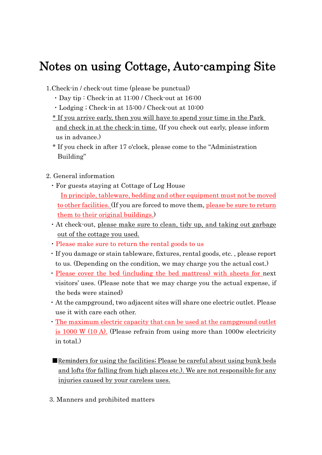## Notes on using Cottage, Auto-camping Site

- 1.Check-in / check-out time (please be punctual)
	- ・Day tip : Check-in at 11:00 / Check-out at 16:00
	- ・Lodging ; Check-in at 15:00 / Check-out at 10:00
	- \* If you arrive early, then you will have to spend your time in the Park and check in at the check-in time. (If you check out early, please inform us in advance.)
	- \* If you check in after 17 o'clock, please come to the "Administration Building"
- 2. General information
	- ・For guests staying at Cottage of Log House In principle, tableware, bedding and other equipment must not be moved to other facilities. (If you are forced to move them, please be sure to return them to their original buildings.)
	- ・At check-out, please make sure to clean, tidy up, and taking out garbage out of the cottage you used.
	- ・Please make sure to return the rental goods to us
	- ・If you damage or stain tableware, fixtures, rental goods, etc. , please report to us. (Depending on the condition, we may charge you the actual cost.)
	- ・Please cover the bed (including the bed mattress) with sheets for next visitors' uses. (Please note that we may charge you the actual expense, if the beds were stained)
	- ・At the campground, two adjacent sites will share one electric outlet. Please use it with care each other.
	- ・The maximum electric capacity that can be used at the campground outlet is  $1000 \text{ W}$  (10 A). (Please refrain from using more than 1000w electricity in total.)
	- ■Reminders for using the facilities; Please be careful about using bunk beds and lofts (for falling from high places etc.). We are not responsible for any injuries caused by your careless uses.
	- 3. Manners and prohibited matters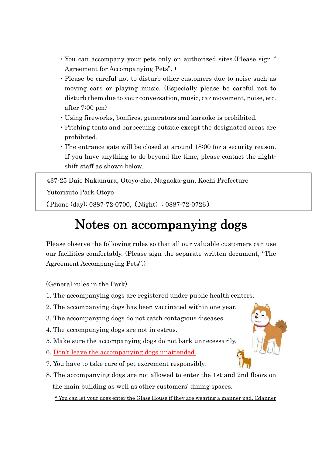- ・You can accompany your pets only on authorized sites.(Please sign " Agreement for Accompanying Pets". )
- ・Please be careful not to disturb other customers due to noise such as moving cars or playing music. (Especially please be careful not to disturb them due to your conversation, music, car movement, noise, etc. after 7:00 pm)
- ・Using fireworks, bonfires, generators and karaoke is prohibited.
- ・Pitching tents and barbecuing outside except the designated areas are prohibited.
- ・The entrance gate will be closed at around 18:00 for a security reason. If you have anything to do beyond the time, please contact the nightshift staff as shown below.

437-25 Daio Nakamura, Otoyo-cho, Nagaoka-gun, Kochi Prefecture Yutorisuto Park Otoyo (Phone (day): 0887-72-0700, (Night): 0887-72-0726)

## Notes on accompanying dogs

Please observe the following rules so that all our valuable customers can use our facilities comfortably. (Please sign the separate written document, "The Agreement Accompanying Pets".)

(General rules in the Park)

- 1. The accompanying dogs are registered under public health centers.
- 2. The accompanying dogs has been vaccinated within one year.
- 3. The accompanying dogs do not catch contagious diseases.
- 4. The accompanying dogs are not in estrus.
- 5. Make sure the accompanying dogs do not bark unnecessarily.
- 6. Don't leave the accompanying dogs unattended.
- 7. You have to take care of pet excrement responsibly.
- 8. The accompanying dogs are not allowed to enter the 1st and 2nd floors on the main building as well as other customers' dining spaces.

\* You can let your dogs enter the Glass House if they are wearing a manner pad. (Manner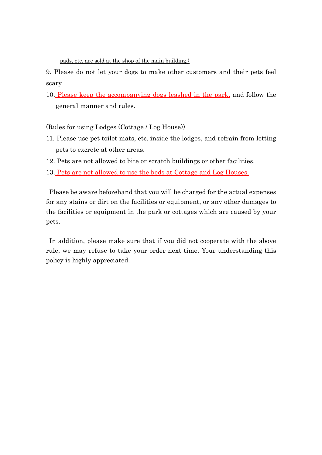pads, etc. are sold at the shop of the main building.)

9. Please do not let your dogs to make other customers and their pets feel scary.

10. Please keep the accompanying dogs leashed in the park, and follow the general manner and rules.

(Rules for using Lodges (Cottage / Log House))

- 11. Please use pet toilet mats, etc. inside the lodges, and refrain from letting pets to excrete at other areas.
- 12. Pets are not allowed to bite or scratch buildings or other facilities.
- 13. Pets are not allowed to use the beds at Cottage and Log Houses.

Please be aware beforehand that you will be charged for the actual expenses for any stains or dirt on the facilities or equipment, or any other damages to the facilities or equipment in the park or cottages which are caused by your pets.

In addition, please make sure that if you did not cooperate with the above rule, we may refuse to take your order next time. Your understanding this policy is highly appreciated.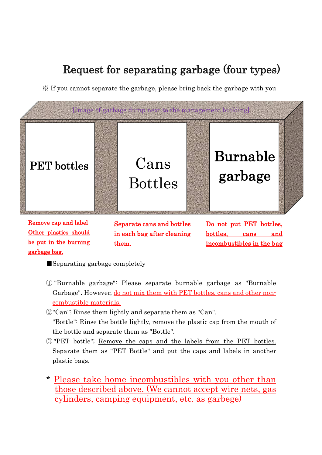## Request for separating garbage (four types)

※ If you cannot separate the garbage, please bring back the garbage with you



Remove cap and label Other plastics should be put in the burning garbage bag.

Separate cans and bottles in each bag after cleaning them.

Do not put PET bottles. bottles, cans and incombustibles in the bag

■ Separating garbage completely

- ① "Burnable garbage": Please separate burnable garbage as "Burnable Garbage". However, do not mix them with PET bottles, cans and other noncombustible materials.
- ②"Can"; Rinse them lightly and separate them as "Can".
	- "Bottle": Rinse the bottle lightly, remove the plastic cap from the mouth of the bottle and separate them as "Bottle".
- ③ "PET bottle"; Remove the caps and the labels from the PET bottles. Separate them as "PET Bottle" and put the caps and labels in another plastic bags.
- \* Please take home incombustibles with you other than those described above. (We cannot accept wire nets, gas cylinders, camping equipment, etc. as garbege)